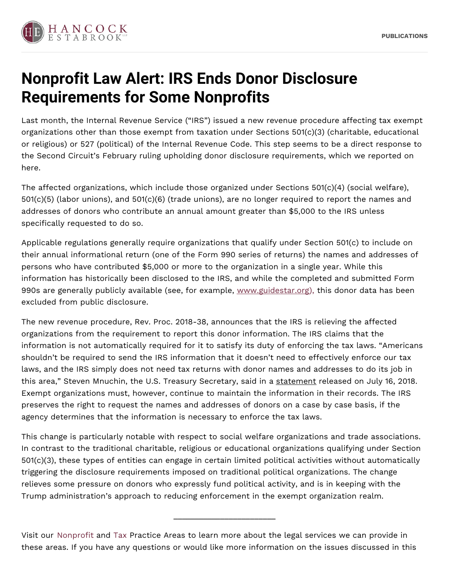

## **Nonprofit Law Alert: IRS Ends Donor Disclosure Requirements for Some Nonprofits**

Last month, the Internal Revenue Service ("IRS") issued a new revenue procedure affecting tax exempt organizations other than those exempt from taxation under Sections 501(c)(3) (charitable, educational or religious) or 527 (political) of the Internal Revenue Code. This step seems to be a direct response to the Second Circuit's February ruling upholding donor disclosure requirements, which we reported on here.

The affected organizations, which include those organized under Sections 501(c)(4) (social welfare), 501(c)(5) (labor unions), and 501(c)(6) (trade unions), are no longer required to report the names and addresses of donors who contribute an annual amount greater than \$5,000 to the IRS unless specifically requested to do so.

Applicable regulations generally require organizations that qualify under Section 501(c) to include on their annual informational return (one of the Form 990 series of returns) the names and addresses of persons who have contributed \$5,000 or more to the organization in a single year. While this information has historically been disclosed to the IRS, and while the completed and submitted Form 990s are generally publicly available (see, for example, [www.guidestar.org\),](http://www.guidestar.org) this donor data has been excluded from public disclosure.

The new revenue procedure, Rev. Proc. 2018-38, announces that the IRS is relieving the affected organizations from the requirement to report this donor information. The IRS claims that the information is not automatically required for it to satisfy its duty of enforcing the tax laws. "Americans shouldn't be required to send the IRS information that it doesn't need to effectively enforce our tax laws, and the IRS simply does not need tax returns with donor names and addresses to do its job in this area," Steven Mnuchin, the U.S. Treasury Secretary, said in a statement released on July 16, 2018. Exempt organizations must, however, continue to maintain the information in their records. The IRS preserves the right to request the names and addresses of donors on a case by case basis, if the agency determines that the information is necessary to enforce the tax laws.

This change is particularly notable with respect to social welfare organizations and trade associations. In contrast to the traditional charitable, religious or educational organizations qualifying under Section 501(c)(3), these types of entities can engage in certain limited political activities without automatically triggering the disclosure requirements imposed on traditional political organizations. The change relieves some pressure on donors who expressly fund political activity, and is in keeping with the Trump administration's approach to reducing enforcement in the exempt organization realm.

Visit our [Nonprofit](https://www.hancocklaw.com/practice-areas-industries/nonprofit/) and [Tax](https://www.hancocklaw.com/practice-areas-industries/tax/) Practice Areas to learn more about the legal services we can provide in these areas. If you have any questions or would like more information on the issues discussed in this

\_\_\_\_\_\_\_\_\_\_\_\_\_\_\_\_\_\_\_\_\_\_\_\_